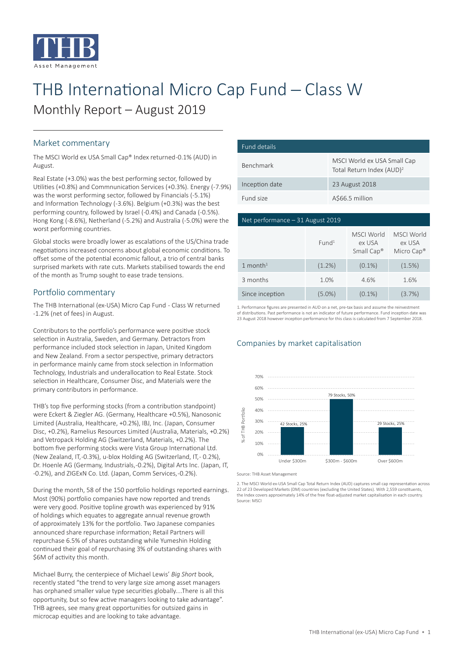

# THB International Micro Cap Fund - Class W Monthly Report – August 2019

### Market commentary

The MSCI World ex USA Small Cap® Index returned -0.1% (AUD) in August.

Real Estate (+3.0%) was the best performing sector, followed by Utilities (+0.8%) and Commnunication Services (+0.3%). Energy (-7.9%) was the worst performing sector, followed by Financials (-5.1%) and Information Technology (-3.6%). Belgium (+0.3%) was the best performing country, followed by Israel (-0.4%) and Canada (-0.5%). Hong Kong (-8.6%), Netherland (-5.2%) and Australia (-5.0%) were the worst performing countries.

Global stocks were broadly lower as escalations of the US/China trade negotiations increased concerns about global economic conditions. To offset some of the potential economic fallout, a trio of central banks surprised markets with rate cuts. Markets stabilised towards the end of the month as Trump sought to ease trade tensions.

#### Portfolio commentary

The THB International (ex-USA) Micro Cap Fund - Class W returned -1.2% (net of fees) in August.

Contributors to the portfolio's performance were positive stock selection in Australia, Sweden, and Germany. Detractors from performance included stock selection in Japan, United Kingdom and New Zealand. From a sector perspective, primary detractors in performance mainly came from stock selection in Information Technology, Industrials and underallocation to Real Estate. Stock selection in Healthcare, Consumer Disc, and Materials were the primary contributors in performance.

THB's top five performing stocks (from a contribution standpoint) were Eckert & Ziegler AG. (Germany, Healthcare +0.5%), Nanosonic Limited (Australia, Healthcare, +0.2%), IBJ, Inc. (Japan, Consumer Disc, +0.2%), Ramelius Resources Limited (Australia, Materials, +0.2%) and Vetropack Holding AG (Switzerland, Materials, +0.2%). The bottom five performing stocks were Vista Group International Ltd. (New Zealand, IT, -0.3%), u-blox Holding AG (Switzerland, IT, - 0.2%), Dr. Hoenle AG (Germany, Industrials, -0.2%), Digital Arts Inc. (Japan, IT, -0.2%), and ZIGExN Co. Ltd. (Japan, Comm Services, -0.2%).

During the month, 58 of the 150 portfolio holdings reported earnings. Most (90%) portfolio companies have now reported and trends were very good. Positive topline growth was experienced by 91% of holdings which equates to aggregate annual revenue growth of approximately 13% for the portfolio. Two Japanese companies announced share repurchase information; Retail Partners will repurchase 6.5% of shares outstanding while Yumeshin Holding continued their goal of repurchasing 3% of outstanding shares with \$6M of activity this month.

Michael Burry, the centerpiece of Michael Lewis' *Big Short* book, recently stated "the trend to very large size among asset managers has orphaned smaller value type securities globally....There is all this opportunity, but so few active managers looking to take advantage". THB agrees, see many great opportunities for outsized gains in microcap equities and are looking to take advantage.

| Fund details     |                                                                      |
|------------------|----------------------------------------------------------------------|
| <b>Benchmark</b> | MSCI World ex USA Small Cap<br>Total Return Index (AUD) <sup>2</sup> |
| Inception date   | 23 August 2018                                                       |
| Fund size        | A\$66.5 million                                                      |

#### Net performance – 31 August 2019

|                                   | Fund <sup>1</sup> | MSCI World<br>ex USA<br>Small Cap <sup>®</sup> | <b>MSCI World</b><br>ex USA<br>Micro Cap <sup>®</sup> |
|-----------------------------------|-------------------|------------------------------------------------|-------------------------------------------------------|
| 1 month <sup><math>1</math></sup> | $(1.2\%)$         | $(0.1\%)$                                      | (1.5%)                                                |
| 3 months                          | 1.0%              | 4.6%                                           | 1.6%                                                  |
| Since inception                   | $(5.0\%)$         | $(0.1\%)$                                      | (3.7%)                                                |

1. Performance figures are presented in AUD on a net, pre-tax basis and assume the reinvestment of distributions. Past performance is not an indicator of future performance. Fund inception date was 23 August 2018 however inception performance for this class is calculated from 7 September 2018.

#### Companies by market capitalisation



Source: THB Asset Management

2. The MSCI World ex-USA Small Cap Total Return Index (AUD) captures small cap representation across 22 of 23 Developed Markets (DM) countries (excluding the United States). With 2,559 constituents, the Index covers approximately 14% of the free float-adjusted market capitalisation in each country. Source: MSCI